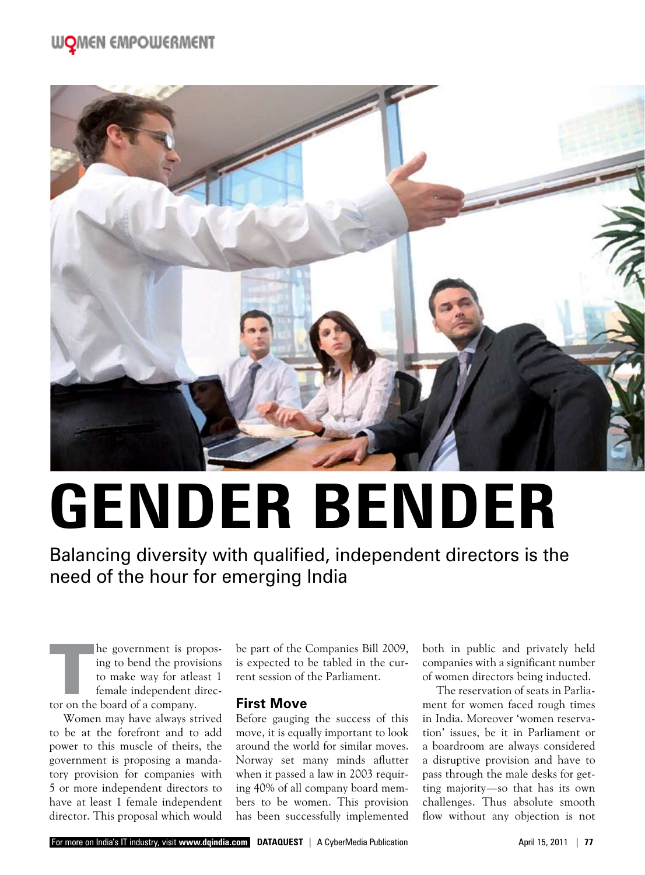# **WOMEN EMPOWERMENT**



# **Gender Bender**

Balancing diversity with qualified, independent directors is the need of the hour for emerging India

The government is proposing to bend the provisions<br>to make way for atleast 1<br>female independent direc-<br>tor on the board of a company. ing to bend the provisions to make way for atleast 1 female independent direc-

Women may have always strived to be at the forefront and to add power to this muscle of theirs, the government is proposing a mandatory provision for companies with 5 or more independent directors to have at least 1 female independent director. This proposal which would be part of the Companies Bill 2009, is expected to be tabled in the current session of the Parliament.

#### **First Move**

Before gauging the success of this move, it is equally important to look around the world for similar moves. Norway set many minds aflutter when it passed a law in 2003 requiring 40% of all company board members to be women. This provision has been successfully implemented

both in public and privately held companies with a significant number of women directors being inducted.

The reservation of seats in Parliament for women faced rough times in India. Moreover 'women reservation' issues, be it in Parliament or a boardroom are always considered a disruptive provision and have to pass through the male desks for getting majority—so that has its own challenges. Thus absolute smooth flow without any objection is not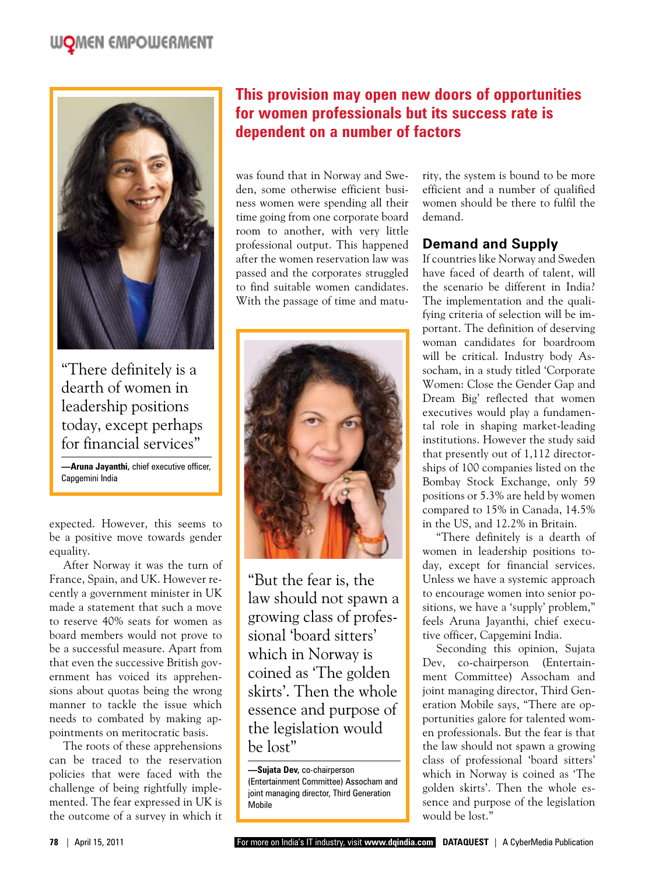# **WOMEN EMPOWERMENT**



"There definitely is a dearth of women in leadership positions today, except perhaps for financial services"

**—Aruna Jayanthi,** chief executive officer, Capgemini India

expected. However, this seems to be a positive move towards gender equality.

After Norway it was the turn of France, Spain, and UK. However recently a government minister in UK made a statement that such a move to reserve 40% seats for women as board members would not prove to be a successful measure. Apart from that even the successive British government has voiced its apprehensions about quotas being the wrong manner to tackle the issue which needs to combated by making appointments on meritocratic basis.

The roots of these apprehensions can be traced to the reservation policies that were faced with the challenge of being rightfully implemented. The fear expressed in UK is the outcome of a survey in which it

# **This provision may open new doors of opportunities for women professionals but its success rate is dependent on a number of factors**

was found that in Norway and Sweden, some otherwise efficient business women were spending all their time going from one corporate board room to another, with very little professional output. This happened after the women reservation law was passed and the corporates struggled to find suitable women candidates. With the passage of time and matu-



"But the fear is, the law should not spawn a growing class of professional 'board sitters' which in Norway is coined as 'The golden skirts'. Then the whole essence and purpose of the legislation would be lost"

**—Sujata Dev,** co-chairperson (Entertainment Committee) Assocham and joint managing director, Third Generation Mobile

rity, the system is bound to be more efficient and a number of qualified women should be there to fulfil the demand.

#### **Demand and Supply**

If countries like Norway and Sweden have faced of dearth of talent, will the scenario be different in India? The implementation and the qualifying criteria of selection will be important. The definition of deserving woman candidates for boardroom will be critical. Industry body Assocham, in a study titled 'Corporate Women: Close the Gender Gap and Dream Big' reflected that women executives would play a fundamental role in shaping market-leading institutions. However the study said that presently out of 1,112 directorships of 100 companies listed on the Bombay Stock Exchange, only 59 positions or 5.3% are held by women compared to 15% in Canada, 14.5% in the US, and 12.2% in Britain.

"There definitely is a dearth of women in leadership positions today, except for financial services. Unless we have a systemic approach to encourage women into senior positions, we have a 'supply' problem," feels Aruna Jayanthi, chief executive officer, Capgemini India.

Seconding this opinion, Sujata Dev, co-chairperson (Entertainment Committee) Assocham and joint managing director, Third Generation Mobile says, "There are opportunities galore for talented women professionals. But the fear is that the law should not spawn a growing class of professional 'board sitters' which in Norway is coined as 'The golden skirts'. Then the whole essence and purpose of the legislation would be lost."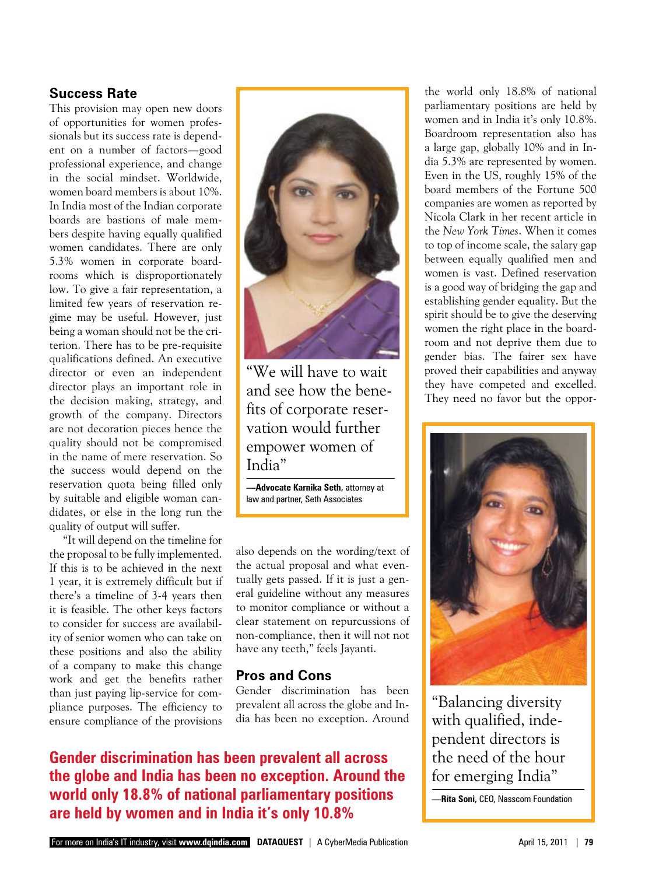## **Success Rate**

This provision may open new doors of opportunities for women professionals but its success rate is dependent on a number of factors—good professional experience, and change in the social mindset. Worldwide, women board members is about 10%. In India most of the Indian corporate boards are bastions of male members despite having equally qualified women candidates. There are only 5.3% women in corporate boardrooms which is disproportionately low. To give a fair representation, a limited few years of reservation regime may be useful. However, just being a woman should not be the criterion. There has to be pre-requisite qualifications defined. An executive director or even an independent director plays an important role in the decision making, strategy, and growth of the company. Directors are not decoration pieces hence the quality should not be compromised in the name of mere reservation. So the success would depend on the reservation quota being filled only by suitable and eligible woman candidates, or else in the long run the quality of output will suffer.

"It will depend on the timeline for the proposal to be fully implemented. If this is to be achieved in the next 1 year, it is extremely difficult but if there's a timeline of 3-4 years then it is feasible. The other keys factors to consider for success are availability of senior women who can take on these positions and also the ability of a company to make this change work and get the benefits rather than just paying lip-service for compliance purposes. The efficiency to ensure compliance of the provisions



"We will have to wait and see how the benefits of corporate reservation would further empower women of India"

**—Advocate Karnika Seth,** attorney at law and partner, Seth Associates

also depends on the wording/text of the actual proposal and what eventually gets passed. If it is just a general guideline without any measures to monitor compliance or without a clear statement on repurcussions of non-compliance, then it will not not have any teeth," feels Jayanti.

#### **Pros and Cons**

Gender discrimination has been prevalent all across the globe and India has been no exception. Around

**Gender discrimination has been prevalent all across the globe and India has been no exception. Around the world only 18.8% of national parliamentary positions are held by women and in India it's only 10.8%**

the world only 18.8% of national parliamentary positions are held by women and in India it's only 10.8%. Boardroom representation also has a large gap, globally 10% and in India 5.3% are represented by women. Even in the US, roughly 15% of the board members of the Fortune 500 companies are women as reported by Nicola Clark in her recent article in the *New York Times*. When it comes to top of income scale, the salary gap between equally qualified men and women is vast. Defined reservation is a good way of bridging the gap and establishing gender equality. But the spirit should be to give the deserving women the right place in the boardroom and not deprive them due to gender bias. The fairer sex have proved their capabilities and anyway they have competed and excelled. They need no favor but the oppor-



"Balancing diversity with qualified, independent directors is the need of the hour for emerging India"

—**Rita Soni,** CEO, Nasscom Foundation